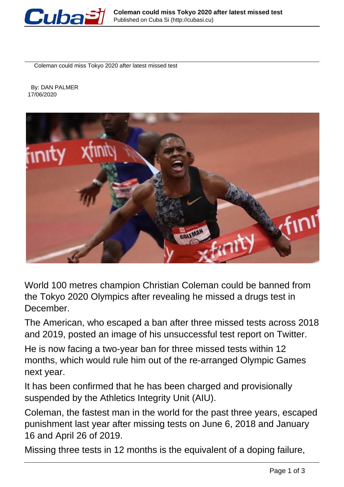

Coleman could miss Tokyo 2020 after latest missed test

 By: DAN PALMER 17/06/2020



World 100 metres champion Christian Coleman could be banned from the Tokyo 2020 Olympics after revealing he missed a drugs test in **December** 

The American, who escaped a ban after three missed tests across 2018 and 2019, posted an image of his unsuccessful test report on Twitter.

He is now facing a two-year ban for three missed tests within 12 months, which would rule him out of the re-arranged Olympic Games next year.

It has been confirmed that he has been charged and provisionally suspended by the Athletics Integrity Unit (AIU).

Coleman, the fastest man in the world for the past three years, escaped punishment last year after missing tests on June 6, 2018 and January 16 and April 26 of 2019.

Missing three tests in 12 months is the equivalent of a doping failure,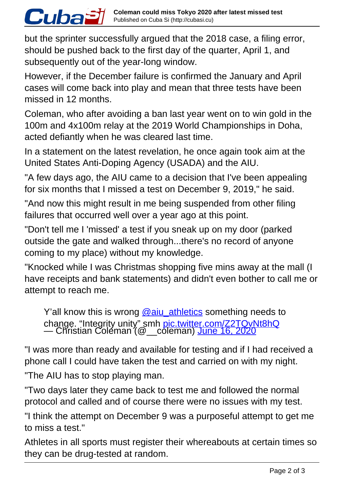but the sprinter successfully argued that the 2018 case, a filing error, should be pushed back to the first day of the quarter, April 1, and subsequently out of the year-long window.

However, if the December failure is confirmed the January and April cases will come back into play and mean that three tests have been missed in 12 months.

Coleman, who after avoiding a ban last year went on to win gold in the 100m and 4x100m relay at the 2019 World Championships in Doha, acted defiantly when he was cleared last time.

In a statement on the latest revelation, he once again took aim at the United States Anti-Doping Agency (USADA) and the AIU.

"A few days ago, the AIU came to a decision that I've been appealing for six months that I missed a test on December 9, 2019," he said.

"And now this might result in me being suspended from other filing failures that occurred well over a year ago at this point.

"Don't tell me I 'missed' a test if you sneak up on my door (parked outside the gate and walked through...there's no record of anyone coming to my place) without my knowledge.

"Knocked while I was Christmas shopping five mins away at the mall (I have receipts and bank statements) and didn't even bother to call me or attempt to reach me.

Y'all know this is wrong  $@{\overline{a}}\overline{u}$  athletics something needs to change. "Integrity unity" smh pic.twitter.com/Z2TQvNt8hQ — Christian Coleman (@\_\_coleman) June 16, 2020

"I was more than ready and available for testing and if I had received a phone call I could have taken the test and carried on with my night.

"The AIU has to stop playing man.

Cubaă

"Two days later they came back to test me and followed the normal protocol and called and of course there were no issues with my test.

"I think the attempt on December 9 was a purposeful attempt to get me to miss a test."

Athletes in all sports must register their whereabouts at certain times so they can be drug-tested at random.